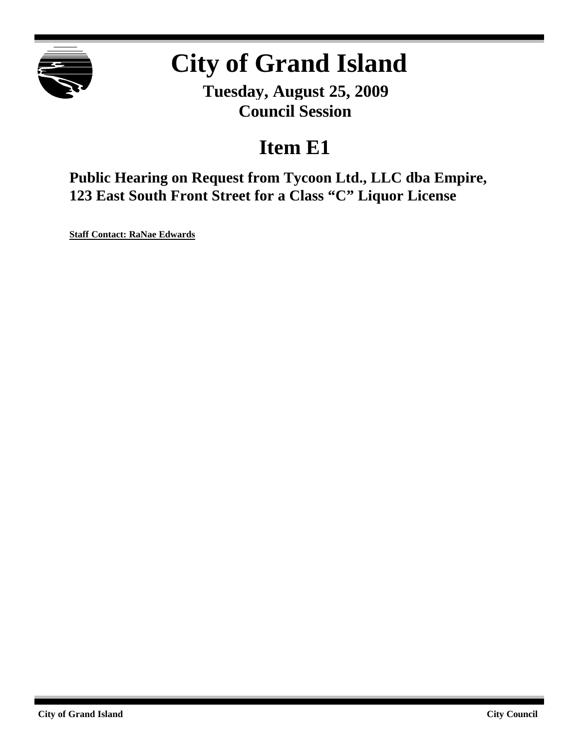

# **City of Grand Island**

**Tuesday, August 25, 2009 Council Session**

## **Item E1**

**Public Hearing on Request from Tycoon Ltd., LLC dba Empire, 123 East South Front Street for a Class "C" Liquor License**

**Staff Contact: RaNae Edwards**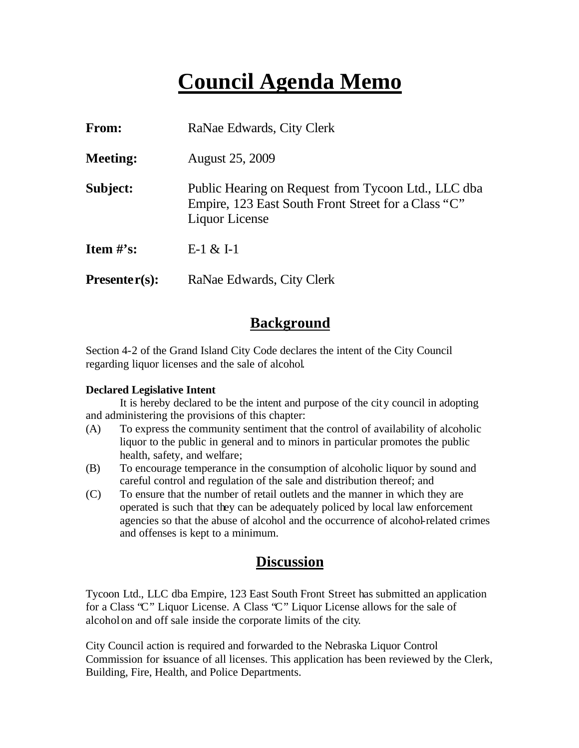## **Council Agenda Memo**

| From:                          | RaNae Edwards, City Clerk                                                                                                    |  |  |  |  |
|--------------------------------|------------------------------------------------------------------------------------------------------------------------------|--|--|--|--|
| <b>Meeting:</b>                | <b>August 25, 2009</b>                                                                                                       |  |  |  |  |
| Subject:                       | Public Hearing on Request from Tycoon Ltd., LLC dba<br>Empire, 123 East South Front Street for a Class "C"<br>Liquor License |  |  |  |  |
| <b>Item <math>\#</math>'s:</b> | $E-1 & 2E-1$                                                                                                                 |  |  |  |  |
| $Presenter(s):$                | RaNae Edwards, City Clerk                                                                                                    |  |  |  |  |

### **Background**

Section 4-2 of the Grand Island City Code declares the intent of the City Council regarding liquor licenses and the sale of alcohol.

#### **Declared Legislative Intent**

It is hereby declared to be the intent and purpose of the city council in adopting and administering the provisions of this chapter:

- (A) To express the community sentiment that the control of availability of alcoholic liquor to the public in general and to minors in particular promotes the public health, safety, and welfare;
- (B) To encourage temperance in the consumption of alcoholic liquor by sound and careful control and regulation of the sale and distribution thereof; and
- (C) To ensure that the number of retail outlets and the manner in which they are operated is such that they can be adequately policed by local law enforcement agencies so that the abuse of alcohol and the occurrence of alcohol-related crimes and offenses is kept to a minimum.

#### **Discussion**

Tycoon Ltd., LLC dba Empire, 123 East South Front Street has submitted an application for a Class "C" Liquor License. A Class "C" Liquor License allows for the sale of alcohol on and off sale inside the corporate limits of the city.

City Council action is required and forwarded to the Nebraska Liquor Control Commission for issuance of all licenses. This application has been reviewed by the Clerk, Building, Fire, Health, and Police Departments.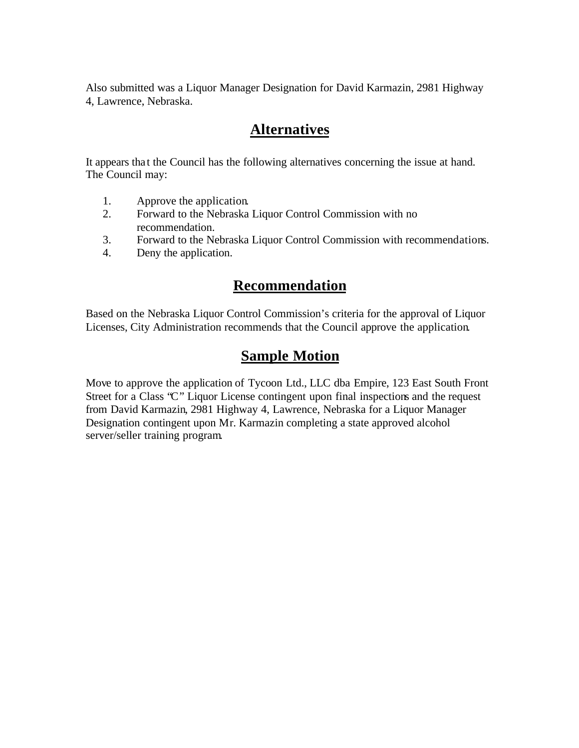Also submitted was a Liquor Manager Designation for David Karmazin, 2981 Highway 4, Lawrence, Nebraska.

### **Alternatives**

It appears tha t the Council has the following alternatives concerning the issue at hand. The Council may:

- 1. Approve the application.
- 2. Forward to the Nebraska Liquor Control Commission with no recommendation.
- 3. Forward to the Nebraska Liquor Control Commission with recommendations.
- 4. Deny the application.

#### **Recommendation**

Based on the Nebraska Liquor Control Commission's criteria for the approval of Liquor Licenses, City Administration recommends that the Council approve the application.

## **Sample Motion**

Move to approve the application of Tycoon Ltd., LLC dba Empire, 123 East South Front Street for a Class "C" Liquor License contingent upon final inspections and the request from David Karmazin, 2981 Highway 4, Lawrence, Nebraska for a Liquor Manager Designation contingent upon Mr. Karmazin completing a state approved alcohol server/seller training program.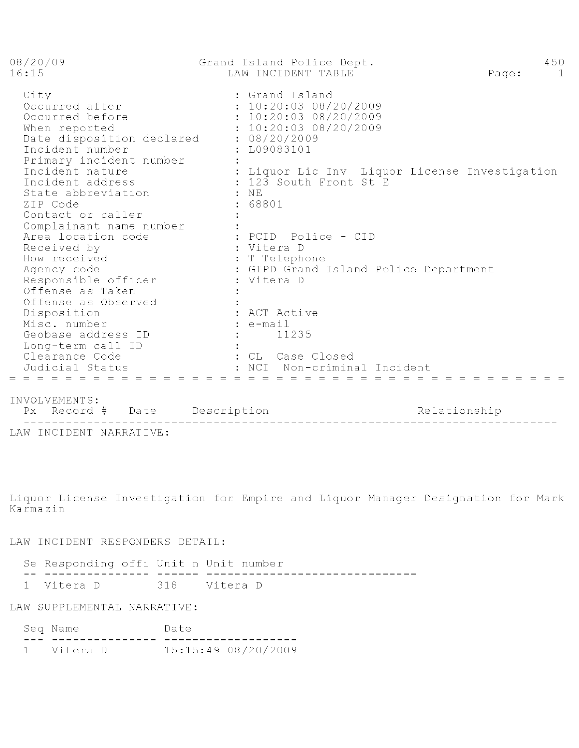| 08/20/09<br>16:15                                                                                                                     | Grand Island Police Dept.<br>LAW INCIDENT TABLE                                                                       | 450<br>Page:<br>$\Box$ |
|---------------------------------------------------------------------------------------------------------------------------------------|-----------------------------------------------------------------------------------------------------------------------|------------------------|
| City<br>Occurred after<br>Occurred before<br>When reported<br>Date disposition declared<br>Incident number<br>Primary incident number | : Grand Island<br>: 10:20:0308/20/2009<br>: 10:20:0308/20/2009<br>: 10:20:0308/20/2009<br>: 08/20/2009<br>: L09083101 |                        |
| Incident nature<br>Incident address<br>State abbreviation<br>ZIP Code<br>Contact or caller<br>Complainant name number                 | : Liquor Lic Inv Liquor License Investigation<br>: 123 South Front St E<br>$:$ NE<br>: 68801                          |                        |
| Area location code<br>Received by<br>How received<br>Agency code<br>Responsible officer<br>Offense as Taken<br>Offense as Observed    | : PCID  Police - CID<br>: Vitera D<br>: T Telephone<br>: GIPD Grand Island Police Department<br>: Vitera D            |                        |
| Disposition<br>Misc. number<br>Geobase address ID<br>Long-term call ID<br>Clearance Code<br>Judicial Status                           | : ACT Active<br>$: e$ -mail<br>11235<br>: CL Case Closed<br>: NCI<br>Non-criminal Incident                            |                        |

#### INVOLVEMENTS:

NYOLYENENIS.<br>Px Record # Date Description Relationship LAW INCIDENT NARRATIVE:

Liquor License Investigation for Empire and Liquor Manager Designation for Mark Karmazin

LAW INCIDENT RESPONDERS DETAIL:

| Se Responding offi Unit n Unit number |  |  |  |  |  |
|---------------------------------------|--|--|--|--|--|
|                                       |  |  |  |  |  |
| 1 Vitera D 318 Vitera D               |  |  |  |  |  |

LAW SUPPLEMENTAL NARRATIVE:

| N Q X | N ə  | $\sim$ |
|-------|------|--------|
|       | __ _ |        |

1 Vitera D 15:15:49 08/20/2009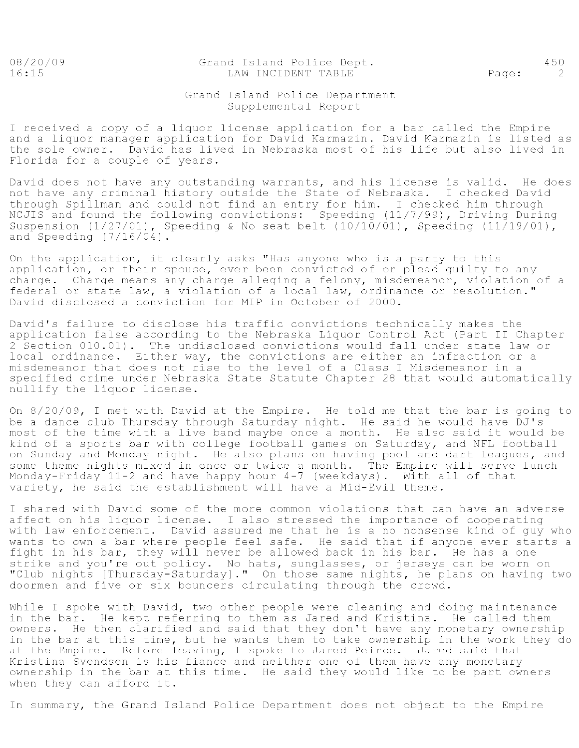08/20/09  $16:15$ 

Grand Island Police Dept. LAW INCIDENT TABLE

Page:

450

 $\overline{\phantom{0}}$  2

#### Grand Island Police Department Supplemental Report

I received a copy of a liquor license application for a bar called the Empire and a liquor manager application for David Karmazin. David Karmazin is listed as the sole owner. David has lived in Nebraska most of his life but also lived in Florida for a couple of years.

David does not have any outstanding warrants, and his license is valid. He does not have any criminal history outside the State of Nebraska. I checked David through Spillman and could not find an entry for him. I checked him through<br>NCJIS and found the following convictions: Speeding (11/7/99), Driving During Suspension (1/27/01), Speeding & No seat belt (10/10/01), Speeding (11/19/01), and Speeding  $(7/16/04)$ .

On the application, it clearly asks "Has anyone who is a party to this application, or their spouse, ever been convicted of or plead guilty to any charge. Charge means any charge alleging a felony, misdemeanor, violation of a federal or state law, a violation of a local law, ordinance or resolution." David disclosed a conviction for MIP in October of 2000.

David's failure to disclose his traffic convictions technically makes the application false according to the Nebraska Liquor Control Act (Part II Chapter 2 Section 010.01). The undisclosed convictions would fall under state law or local ordinance. Either way, the convictions are either an infraction or a misdemeanor that does not rise to the level of a Class I Misdemeanor in a specified crime under Nebraska State Statute Chapter 28 that would automatically nullify the liquor license.

On 8/20/09, I met with David at the Empire. He told me that the bar is going to be a dance club Thursday through Saturday night. He said he would have DJ's most of the time with a live band maybe once a month. He also said it would be kind of a sports bar with college football games on Saturday, and NFL football<br>on Sunday and Monday night. He also plans on having pool and dart leagues, and some theme nights mixed in once or twice a month. The Empire will serve lunch Monday-Friday 11-2 and have happy hour 4-7 (weekdays). With all of that variety, he said the establishment will have a Mid-Evil theme.

I shared with David some of the more common violations that can have an adverse affect on his liquor license. I also stressed the importance of cooperating with law enforcement. David assured me that he is a no nonsense kind of guy who wants to own a bar where people feel safe. He said that if anyone ever starts a fight in his bar, they will never be allowed back in his bar. He has a one strike and you're out policy. No hats, sunglasses, or jerseys can be worn on<br>"Club nights [Thursday-Saturday]." On those same nights, he plans on having two doormen and five or six bouncers circulating through the crowd.

While I spoke with David, two other people were cleaning and doing maintenance in the bar. He kept referring to them as Jared and Kristina. He called them owners. He then clarified and said that they don't have any monetary ownership in the bar at this time, but he wants them to take ownership in the work they do at the Empire. Before leaving, I spoke to Jared Peirce. Jared said that Kristina Svendsen is his fiance and neither one of them have any monetary ownership in the bar at this time. He said they would like to be part owners when they can afford it.

In summary, the Grand Island Police Department does not object to the Empire